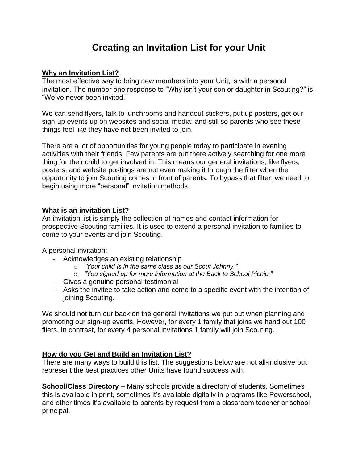# **Creating an Invitation List for your Unit**

#### **Why an Invitation List?**

The most effective way to bring new members into your Unit, is with a personal invitation. The number one response to "Why isn't your son or daughter in Scouting?" is "We've never been invited."

We can send flyers, talk to lunchrooms and handout stickers, put up posters, get our sign-up events up on websites and social media; and still so parents who see these things feel like they have not been invited to join.

There are a lot of opportunities for young people today to participate in evening activities with their friends. Few parents are out there actively searching for one more thing for their child to get involved in. This means our general invitations, like flyers, posters, and website postings are not even making it through the filter when the opportunity to join Scouting comes in front of parents. To bypass that filter, we need to begin using more "personal" invitation methods.

#### **What is an invitation List?**

An invitation list is simply the collection of names and contact information for prospective Scouting families. It is used to extend a personal invitation to families to come to your events and join Scouting.

A personal invitation:

- Acknowledges an existing relationship
	- o *"Your child is in the same class as our Scout Johnny."*
	- o *"You signed up for more information at the Back to School Picnic."*
- Gives a genuine personal testimonial
- Asks the invitee to take action and come to a specific event with the intention of joining Scouting.

We should not turn our back on the general invitations we put out when planning and promoting our sign-up events. However, for every 1 family that joins we hand out 100 fliers. In contrast, for every 4 personal invitations 1 family will join Scouting.

## **How do you Get and Build an Invitation List?**

There are many ways to build this list. The suggestions below are not all-inclusive but represent the best practices other Units have found success with.

**School/Class Directory** – Many schools provide a directory of students. Sometimes this is available in print, sometimes it's available digitally in programs like Powerschool, and other times it's available to parents by request from a classroom teacher or school principal.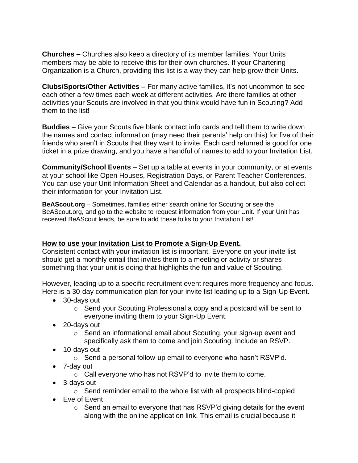**Churches –** Churches also keep a directory of its member families. Your Units members may be able to receive this for their own churches. If your Chartering Organization is a Church, providing this list is a way they can help grow their Units.

**Clubs/Sports/Other Activities –** For many active families, it's not uncommon to see each other a few times each week at different activities. Are there families at other activities your Scouts are involved in that you think would have fun in Scouting? Add them to the list!

**Buddies** – Give your Scouts five blank contact info cards and tell them to write down the names and contact information (may need their parents' help on this) for five of their friends who aren't in Scouts that they want to invite. Each card returned is good for one ticket in a prize drawing, and you have a handful of names to add to your Invitation List.

**Community/School Events** – Set up a table at events in your community, or at events at your school like Open Houses, Registration Days, or Parent Teacher Conferences. You can use your Unit Information Sheet and Calendar as a handout, but also collect their information for your Invitation List.

**BeAScout.org** – Sometimes, families either search online for Scouting or see the BeAScout.org, and go to the website to request information from your Unit. If your Unit has received BeAScout leads, be sure to add these folks to your Invitation List!

## **How to use your Invitation List to Promote a Sign-Up Event.**

Consistent contact with your invitation list is important. Everyone on your invite list should get a monthly email that invites them to a meeting or activity or shares something that your unit is doing that highlights the fun and value of Scouting.

However, leading up to a specific recruitment event requires more frequency and focus. Here is a 30-day communication plan for your invite list leading up to a Sign-Up Event.

- 30-days out
	- o Send your Scouting Professional a copy and a postcard will be sent to everyone inviting them to your Sign-Up Event.
- 20-days out
	- $\circ$  Send an informational email about Scouting, your sign-up event and specifically ask them to come and join Scouting. Include an RSVP.
- 10-days out
	- o Send a personal follow-up email to everyone who hasn't RSVP'd.
- 7-day out
	- o Call everyone who has not RSVP'd to invite them to come.
- 3-days out
	- o Send reminder email to the whole list with all prospects blind-copied
- Eve of Event
	- o Send an email to everyone that has RSVP'd giving details for the event along with the online application link. This email is crucial because it